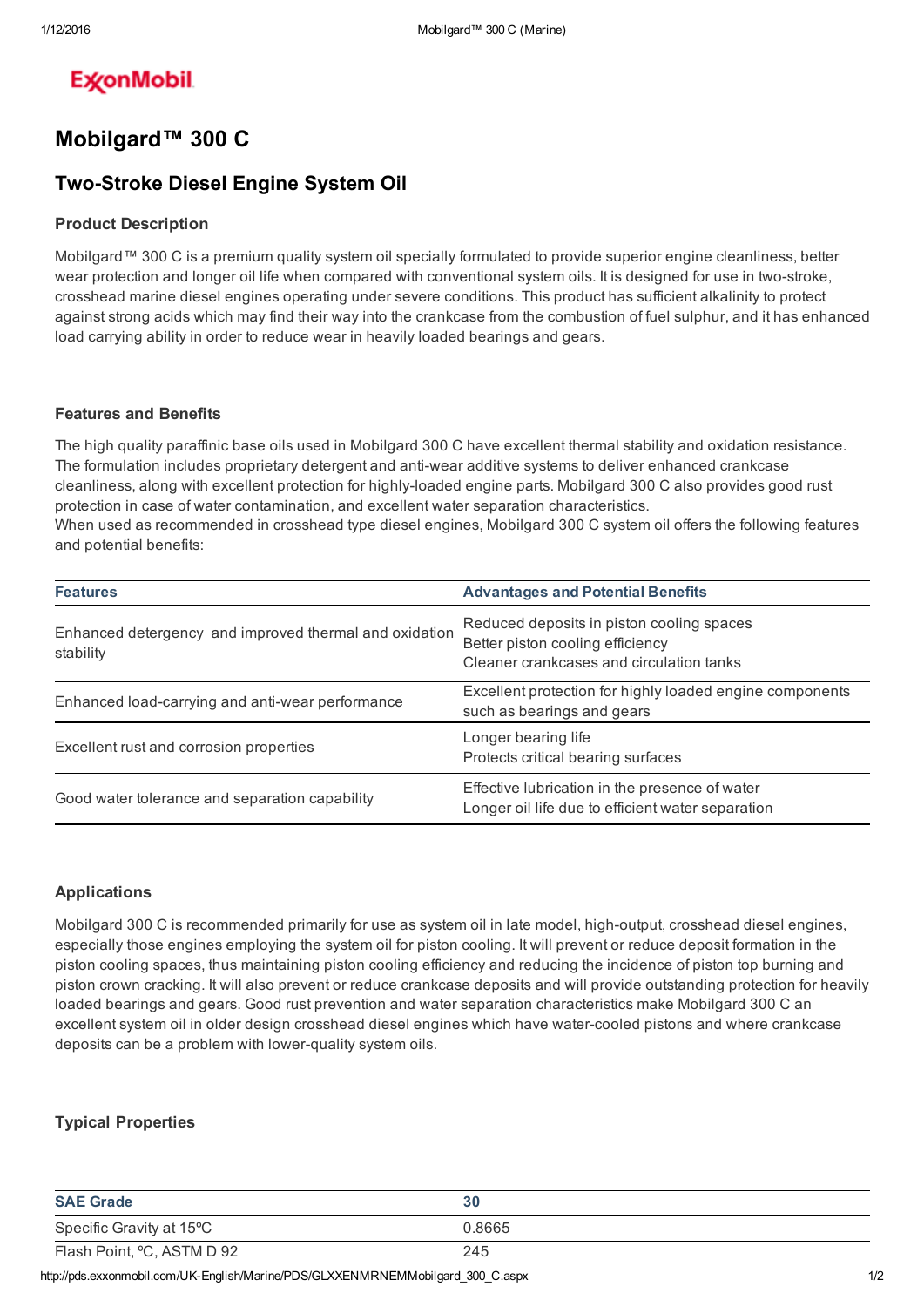# **ExconMobil**

# Mobilgard™ 300 C

## **Two-Stroke Diesel Engine System Oil**

### Product Description

Mobilgard™ 300 C is a premium quality system oil specially formulated to provide superior engine cleanliness, better wear protection and longer oil life when compared with conventional system oils. It is designed for use in two-stroke, crosshead marine diesel engines operating under severe conditions. This product has sufficient alkalinity to protect against strong acids which may find their way into the crankcase from the combustion of fuel sulphur, and it has enhanced load carrying ability in order to reduce wear in heavily loaded bearings and gears.

#### Features and Benefits

The high quality paraffinic base oils used in Mobilgard 300 C have excellent thermal stability and oxidation resistance. The formulation includes proprietary detergent and anti-wear additive systems to deliver enhanced crankcase cleanliness, along with excellent protection for highly-loaded engine parts. Mobilgard 300 C also provides good rust protection in case of water contamination, and excellent water separation characteristics. When used as recommended in crosshead type diesel engines, Mobilgard 300 C system oil offers the following features and potential benefits:

| <b>Features</b>                                                     | <b>Advantages and Potential Benefits</b>                                                                                  |
|---------------------------------------------------------------------|---------------------------------------------------------------------------------------------------------------------------|
| Enhanced detergency and improved thermal and oxidation<br>stability | Reduced deposits in piston cooling spaces<br>Better piston cooling efficiency<br>Cleaner crankcases and circulation tanks |
| Enhanced load-carrying and anti-wear performance                    | Excellent protection for highly loaded engine components<br>such as bearings and gears                                    |
| Excellent rust and corrosion properties                             | Longer bearing life<br>Protects critical bearing surfaces                                                                 |
| Good water tolerance and separation capability                      | Effective lubrication in the presence of water<br>Longer oil life due to efficient water separation                       |

#### Applications

Mobilgard 300 C is recommended primarily for use as system oil in late model, high-output, crosshead diesel engines, especially those engines employing the system oil for piston cooling. It will prevent or reduce deposit formation in the piston cooling spaces, thus maintaining piston cooling efficiency and reducing the incidence of piston top burning and piston crown cracking. It will also prevent or reduce crankcase deposits and will provide outstanding protection for heavily loaded bearings and gears. Good rust prevention and water separation characteristics make Mobilgard 300 C an excellent system oil in older design crosshead diesel engines which have water-cooled pistons and where crankcase deposits can be a problem with lower-quality system oils.

### Typical Properties

| <b>SAE Grade</b>                                                                | 30     |     |
|---------------------------------------------------------------------------------|--------|-----|
| Specific Gravity at 15°C                                                        | 0.8665 |     |
| Flash Point, °C, ASTM D 92                                                      | 245    |     |
| http://pds.exxonmobil.com/UK-English/Marine/PDS/GLXXENMRNEMMobilgard_300_C.aspx |        | 1/2 |